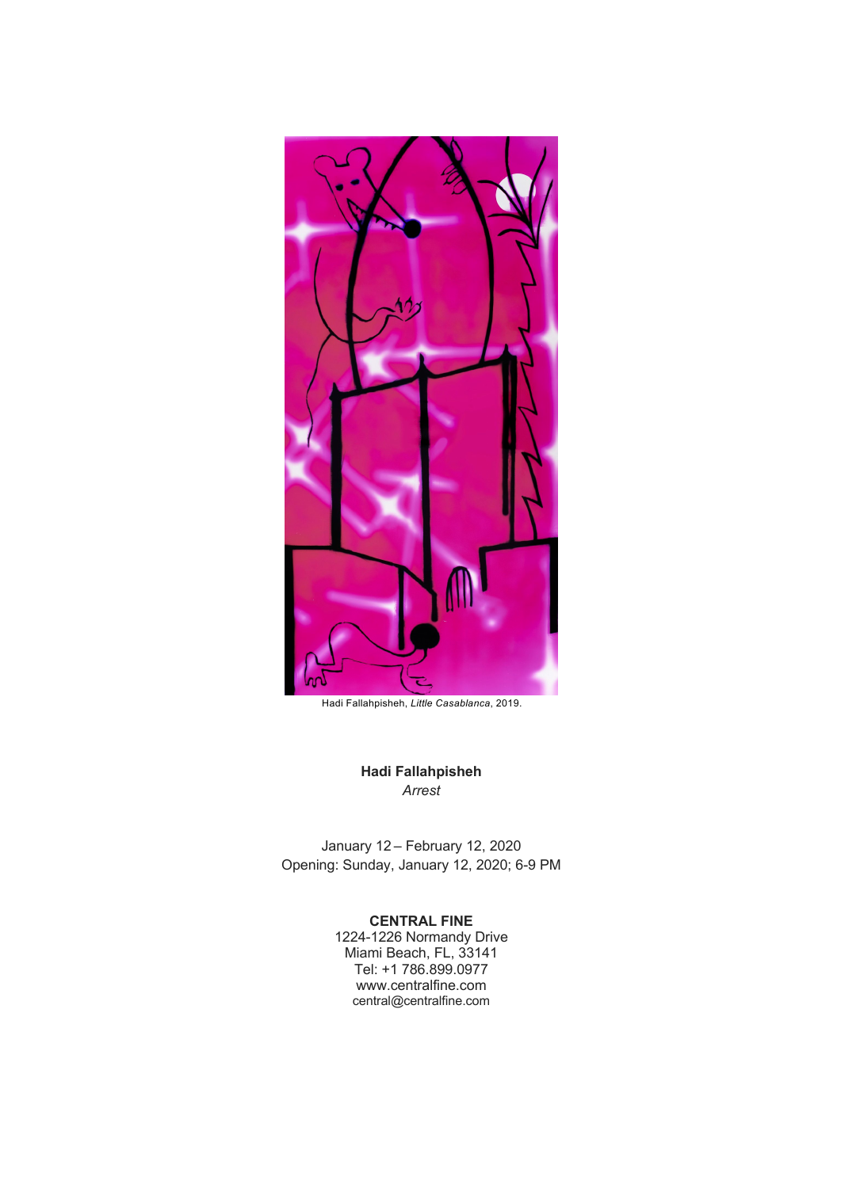

Hadi Fallahpisheh, *Little Casablanca*, 2019.

**Hadi Fallahpisheh** *Arrest*

January 12 – February 12, 2020 Opening: Sunday, January 12, 2020; 6-9 PM

## **CENTRAL FINE**

1224-1226 Normandy Drive Miami Beach, FL, 33141 Tel: +1 786.899.0977 www.centralfine.com central@centralfine.com